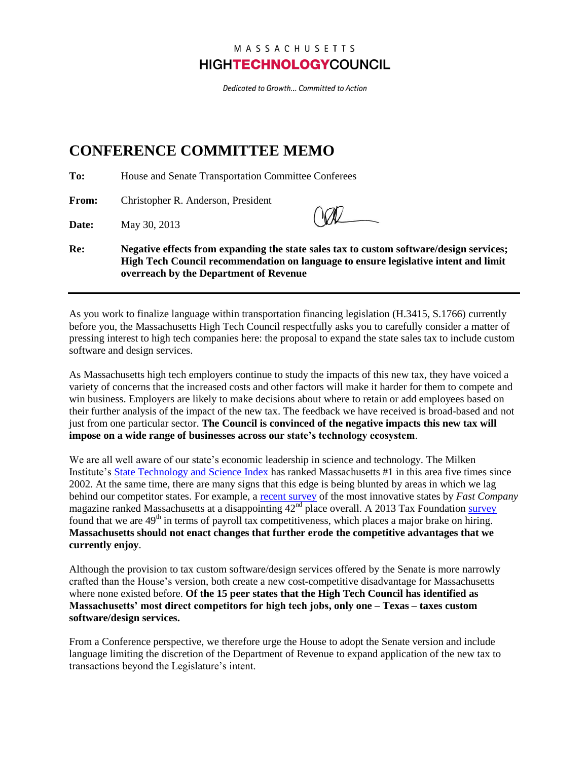# MASSACHUSETTS **HIGHTECHNOLOGYCOUNCIL**

Dedicated to Growth... Committed to Action

# **CONFERENCE COMMITTEE MEMO**

**To:** House and Senate Transportation Committee Conferees

**From:** Christopher R. Anderson, President

**Date:** May 30, 2013

**Re: Negative effects from expanding the state sales tax to custom software/design services; High Tech Council recommendation on language to ensure legislative intent and limit overreach by the Department of Revenue**

As you work to finalize language within transportation financing legislation (H.3415, S.1766) currently before you, the Massachusetts High Tech Council respectfully asks you to carefully consider a matter of pressing interest to high tech companies here: the proposal to expand the state sales tax to include custom software and design services.

As Massachusetts high tech employers continue to study the impacts of this new tax, they have voiced a variety of concerns that the increased costs and other factors will make it harder for them to compete and win business. Employers are likely to make decisions about where to retain or add employees based on their further analysis of the impact of the new tax. The feedback we have received is broad-based and not just from one particular sector. **The Council is convinced of the negative impacts this new tax will impose on a wide range of businesses across our state's technology ecosystem**.

We are all well aware of our state's economic leadership in science and technology. The Milken Institute'[s State Technology and Science Index](http://statetechandscience.org/statetech.taf?page=state&state=MA) has ranked Massachusetts #1 in this area five times since 2002. At the same time, there are many signs that this edge is being blunted by areas in which we lag behind our competitor states. For example, a [recent survey](http://www.fastcompany.com/3007772/united-states-innovation-ranking-states-and-district-innovation) of the most innovative states by *Fast Company* magazine ranked Massachusetts at a disappointing  $42<sup>nd</sup>$  place overall. A 2013 Tax Foundatio[n survey](http://taxfoundation.org/article/2013-state-business-tax-climate-index) found that we are 49<sup>th</sup> in terms of payroll tax competitiveness, which places a major brake on hiring. **Massachusetts should not enact changes that further erode the competitive advantages that we currently enjoy**.

Although the provision to tax custom software/design services offered by the Senate is more narrowly crafted than the House's version, both create a new cost-competitive disadvantage for Massachusetts where none existed before. **Of the 15 peer states that the High Tech Council has identified as Massachusetts' most direct competitors for high tech jobs, only one – Texas – taxes custom software/design services.**

From a Conference perspective, we therefore urge the House to adopt the Senate version and include language limiting the discretion of the Department of Revenue to expand application of the new tax to transactions beyond the Legislature's intent.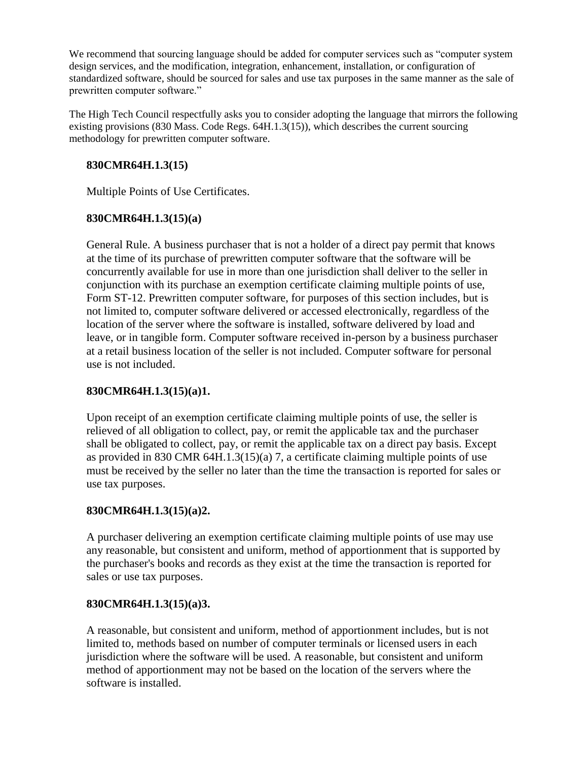We recommend that sourcing language should be added for computer services such as "computer system design services, and the modification, integration, enhancement, installation, or configuration of standardized software, should be sourced for sales and use tax purposes in the same manner as the sale of prewritten computer software."

The High Tech Council respectfully asks you to consider adopting the language that mirrors the following existing provisions (830 Mass. Code Regs. 64H.1.3(15)), which describes the current sourcing methodology for prewritten computer software.

## **830CMR64H.1.3(15)**

Multiple Points of Use Certificates.

# **830CMR64H.1.3(15)(a)**

General Rule. A business purchaser that is not a holder of a direct pay permit that knows at the time of its purchase of prewritten computer software that the software will be concurrently available for use in more than one jurisdiction shall deliver to the seller in conjunction with its purchase an exemption certificate claiming multiple points of use, Form ST-12. Prewritten computer software, for purposes of this section includes, but is not limited to, computer software delivered or accessed electronically, regardless of the location of the server where the software is installed, software delivered by load and leave, or in tangible form. Computer software received in-person by a business purchaser at a retail business location of the seller is not included. Computer software for personal use is not included.

# **830CMR64H.1.3(15)(a)1.**

Upon receipt of an exemption certificate claiming multiple points of use, the seller is relieved of all obligation to collect, pay, or remit the applicable tax and the purchaser shall be obligated to collect, pay, or remit the applicable tax on a direct pay basis. Except as provided in 830 CMR 64H.1.3(15)(a) 7, a certificate claiming multiple points of use must be received by the seller no later than the time the transaction is reported for sales or use tax purposes.

# **830CMR64H.1.3(15)(a)2.**

A purchaser delivering an exemption certificate claiming multiple points of use may use any reasonable, but consistent and uniform, method of apportionment that is supported by the purchaser's books and records as they exist at the time the transaction is reported for sales or use tax purposes.

## **830CMR64H.1.3(15)(a)3.**

A reasonable, but consistent and uniform, method of apportionment includes, but is not limited to, methods based on number of computer terminals or licensed users in each jurisdiction where the software will be used. A reasonable, but consistent and uniform method of apportionment may not be based on the location of the servers where the software is installed.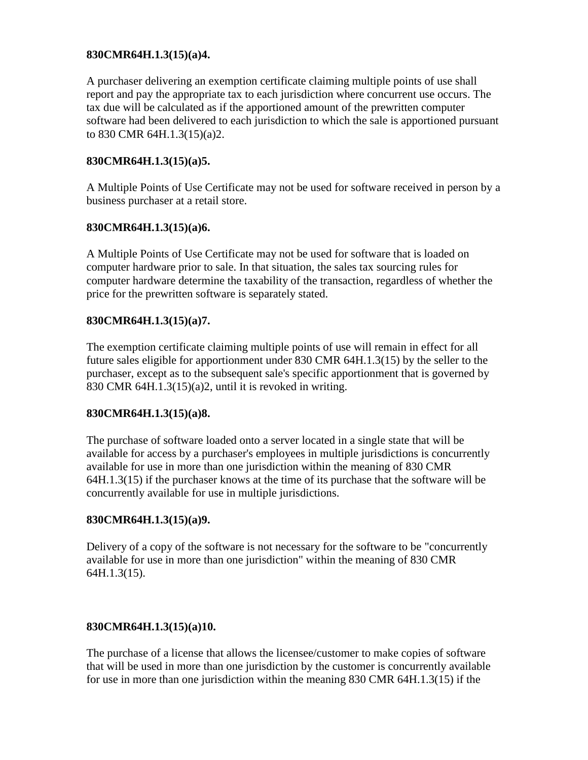## **830CMR64H.1.3(15)(a)4.**

A purchaser delivering an exemption certificate claiming multiple points of use shall report and pay the appropriate tax to each jurisdiction where concurrent use occurs. The tax due will be calculated as if the apportioned amount of the prewritten computer software had been delivered to each jurisdiction to which the sale is apportioned pursuant to 830 CMR 64H.1.3(15)(a)2.

#### **830CMR64H.1.3(15)(a)5.**

A Multiple Points of Use Certificate may not be used for software received in person by a business purchaser at a retail store.

#### **830CMR64H.1.3(15)(a)6.**

A Multiple Points of Use Certificate may not be used for software that is loaded on computer hardware prior to sale. In that situation, the sales tax sourcing rules for computer hardware determine the taxability of the transaction, regardless of whether the price for the prewritten software is separately stated.

#### **830CMR64H.1.3(15)(a)7.**

The exemption certificate claiming multiple points of use will remain in effect for all future sales eligible for apportionment under 830 CMR 64H.1.3(15) by the seller to the purchaser, except as to the subsequent sale's specific apportionment that is governed by 830 CMR 64H.1.3(15)(a)2, until it is revoked in writing.

#### **830CMR64H.1.3(15)(a)8.**

The purchase of software loaded onto a server located in a single state that will be available for access by a purchaser's employees in multiple jurisdictions is concurrently available for use in more than one jurisdiction within the meaning of 830 CMR 64H.1.3(15) if the purchaser knows at the time of its purchase that the software will be concurrently available for use in multiple jurisdictions.

## **830CMR64H.1.3(15)(a)9.**

Delivery of a copy of the software is not necessary for the software to be "concurrently available for use in more than one jurisdiction" within the meaning of 830 CMR 64H.1.3(15).

## **830CMR64H.1.3(15)(a)10.**

The purchase of a license that allows the licensee/customer to make copies of software that will be used in more than one jurisdiction by the customer is concurrently available for use in more than one jurisdiction within the meaning 830 CMR 64H.1.3(15) if the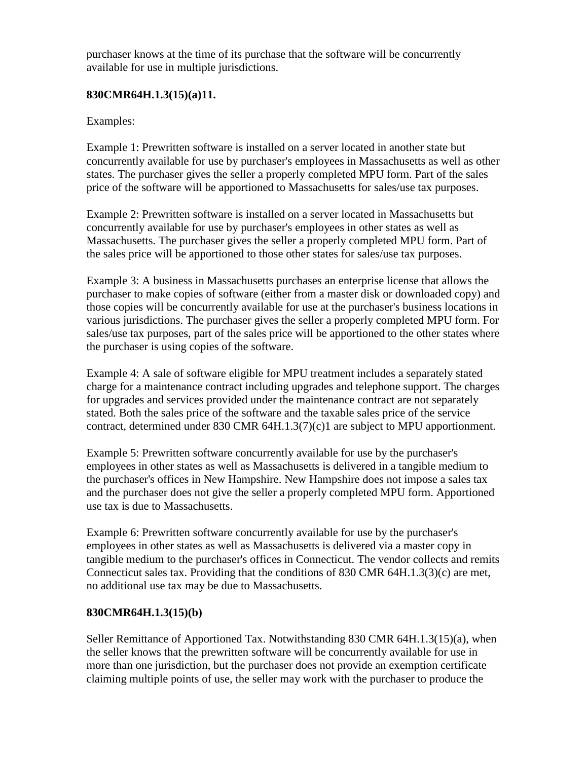purchaser knows at the time of its purchase that the software will be concurrently available for use in multiple jurisdictions.

## **830CMR64H.1.3(15)(a)11.**

## Examples:

Example 1: Prewritten software is installed on a server located in another state but concurrently available for use by purchaser's employees in Massachusetts as well as other states. The purchaser gives the seller a properly completed MPU form. Part of the sales price of the software will be apportioned to Massachusetts for sales/use tax purposes.

Example 2: Prewritten software is installed on a server located in Massachusetts but concurrently available for use by purchaser's employees in other states as well as Massachusetts. The purchaser gives the seller a properly completed MPU form. Part of the sales price will be apportioned to those other states for sales/use tax purposes.

Example 3: A business in Massachusetts purchases an enterprise license that allows the purchaser to make copies of software (either from a master disk or downloaded copy) and those copies will be concurrently available for use at the purchaser's business locations in various jurisdictions. The purchaser gives the seller a properly completed MPU form. For sales/use tax purposes, part of the sales price will be apportioned to the other states where the purchaser is using copies of the software.

Example 4: A sale of software eligible for MPU treatment includes a separately stated charge for a maintenance contract including upgrades and telephone support. The charges for upgrades and services provided under the maintenance contract are not separately stated. Both the sales price of the software and the taxable sales price of the service contract, determined under 830 CMR 64H.1.3(7)(c)1 are subject to MPU apportionment.

Example 5: Prewritten software concurrently available for use by the purchaser's employees in other states as well as Massachusetts is delivered in a tangible medium to the purchaser's offices in New Hampshire. New Hampshire does not impose a sales tax and the purchaser does not give the seller a properly completed MPU form. Apportioned use tax is due to Massachusetts.

Example 6: Prewritten software concurrently available for use by the purchaser's employees in other states as well as Massachusetts is delivered via a master copy in tangible medium to the purchaser's offices in Connecticut. The vendor collects and remits Connecticut sales tax. Providing that the conditions of 830 CMR 64H.1.3(3)(c) are met, no additional use tax may be due to Massachusetts.

## **830CMR64H.1.3(15)(b)**

Seller Remittance of Apportioned Tax. Notwithstanding 830 CMR 64H.1.3(15)(a), when the seller knows that the prewritten software will be concurrently available for use in more than one jurisdiction, but the purchaser does not provide an exemption certificate claiming multiple points of use, the seller may work with the purchaser to produce the